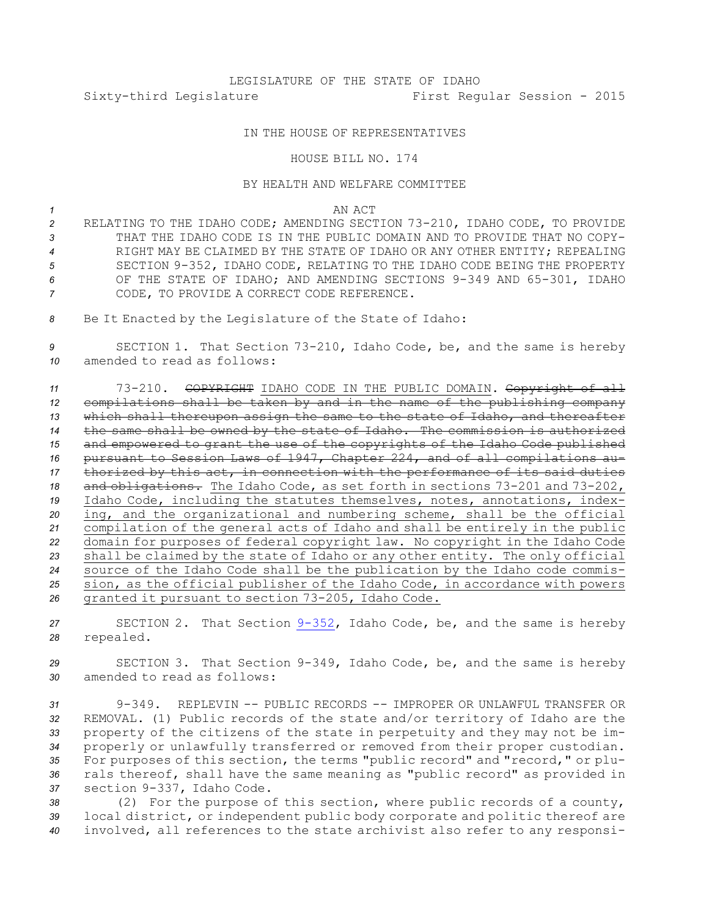## IN THE HOUSE OF REPRESENTATIVES

## HOUSE BILL NO. 174

## BY HEALTH AND WELFARE COMMITTEE

*1* AN ACT

 RELATING TO THE IDAHO CODE; AMENDING SECTION 73-210, IDAHO CODE, TO PROVIDE THAT THE IDAHO CODE IS IN THE PUBLIC DOMAIN AND TO PROVIDE THAT NO COPY- RIGHT MAY BE CLAIMED BY THE STATE OF IDAHO OR ANY OTHER ENTITY; REPEALING SECTION 9-352, IDAHO CODE, RELATING TO THE IDAHO CODE BEING THE PROPERTY OF THE STATE OF IDAHO; AND AMENDING SECTIONS 9-349 AND 65-301, IDAHO CODE, TO PROVIDE A CORRECT CODE REFERENCE.

*<sup>8</sup>* Be It Enacted by the Legislature of the State of Idaho:

*<sup>9</sup>* SECTION 1. That Section 73-210, Idaho Code, be, and the same is hereby *10* amended to read as follows:

 73-210. COPYRIGHT IDAHO CODE IN THE PUBLIC DOMAIN. Copyright of all compilations shall be taken by and in the name of the publishing company which shall thereupon assign the same to the state of Idaho, and thereafter the same shall be owned by the state of Idaho. The commission is authorized and empowered to grant the use of the copyrights of the Idaho Code published pursuant to Session Laws of 1947, Chapter 224, and of all compilations au- thorized by this act, in connection with the performance of its said duties 18 and obligations. The Idaho Code, as set forth in sections 73-201 and 73-202, Idaho Code, including the statutes themselves, notes, annotations, index- ing, and the organizational and numbering scheme, shall be the official compilation of the general acts of Idaho and shall be entirely in the public domain for purposes of federal copyright law. No copyright in the Idaho Code shall be claimed by the state of Idaho or any other entity. The only official source of the Idaho Code shall be the publication by the Idaho code commis- sion, as the official publisher of the Idaho Code, in accordance with powers granted it pursuant to section 73-205, Idaho Code.

*<sup>27</sup>* SECTION 2. That Section [9-352](http://www.legislature.idaho.gov/idstat/Title9/T9CH3SECT9-352.htm), Idaho Code, be, and the same is hereby *<sup>28</sup>* repealed.

*<sup>29</sup>* SECTION 3. That Section 9-349, Idaho Code, be, and the same is hereby *30* amended to read as follows:

 9-349. REPLEVIN -- PUBLIC RECORDS -- IMPROPER OR UNLAWFUL TRANSFER OR REMOVAL. (1) Public records of the state and/or territory of Idaho are the property of the citizens of the state in perpetuity and they may not be im- properly or unlawfully transferred or removed from their proper custodian. For purposes of this section, the terms "public record" and "record," or plu- rals thereof, shall have the same meaning as "public record" as provided in section 9-337, Idaho Code.

*<sup>38</sup>* (2) For the purpose of this section, where public records of <sup>a</sup> county, *<sup>39</sup>* local district, or independent public body corporate and politic thereof are *<sup>40</sup>* involved, all references to the state archivist also refer to any responsi-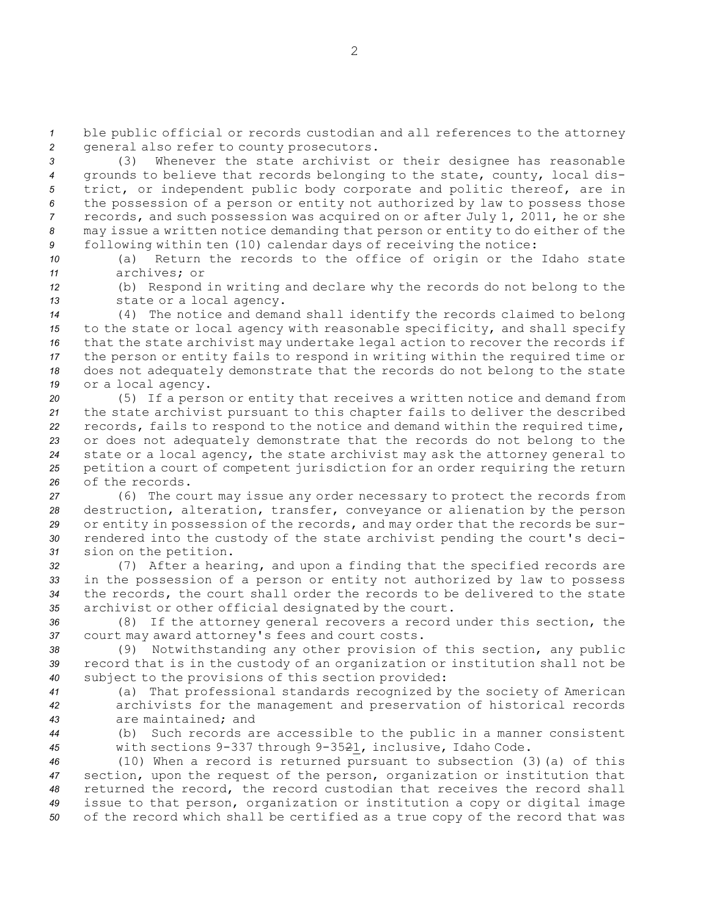*<sup>1</sup>* ble public official or records custodian and all references to the attorney *<sup>2</sup>* general also refer to county prosecutors.

 (3) Whenever the state archivist or their designee has reasonable grounds to believe that records belonging to the state, county, local dis- trict, or independent public body corporate and politic thereof, are in the possession of <sup>a</sup> person or entity not authorized by law to possess those records, and such possession was acquired on or after July 1, 2011, he or she may issue <sup>a</sup> written notice demanding that person or entity to do either of the following within ten (10) calendar days of receiving the notice:

*<sup>10</sup>* (a) Return the records to the office of origin or the Idaho state *11* archives; or

*<sup>12</sup>* (b) Respond in writing and declare why the records do not belong to the *<sup>13</sup>* state or <sup>a</sup> local agency.

 (4) The notice and demand shall identify the records claimed to belong to the state or local agency with reasonable specificity, and shall specify that the state archivist may undertake legal action to recover the records if the person or entity fails to respond in writing within the required time or does not adequately demonstrate that the records do not belong to the state or <sup>a</sup> local agency.

 (5) If <sup>a</sup> person or entity that receives <sup>a</sup> written notice and demand from the state archivist pursuant to this chapter fails to deliver the described records, fails to respond to the notice and demand within the required time, or does not adequately demonstrate that the records do not belong to the state or <sup>a</sup> local agency, the state archivist may ask the attorney general to petition <sup>a</sup> court of competent jurisdiction for an order requiring the return of the records.

 (6) The court may issue any order necessary to protect the records from destruction, alteration, transfer, conveyance or alienation by the person or entity in possession of the records, and may order that the records be sur- rendered into the custody of the state archivist pending the court's deci-sion on the petition.

 (7) After <sup>a</sup> hearing, and upon <sup>a</sup> finding that the specified records are in the possession of <sup>a</sup> person or entity not authorized by law to possess the records, the court shall order the records to be delivered to the state archivist or other official designated by the court.

*<sup>36</sup>* (8) If the attorney general recovers <sup>a</sup> record under this section, the *<sup>37</sup>* court may award attorney's fees and court costs.

*<sup>38</sup>* (9) Notwithstanding any other provision of this section, any public *<sup>39</sup>* record that is in the custody of an organization or institution shall not be *<sup>40</sup>* subject to the provisions of this section provided:

*<sup>41</sup>* (a) That professional standards recognized by the society of American *<sup>42</sup>* archivists for the management and preservation of historical records *43* are maintained; and

*<sup>44</sup>* (b) Such records are accessible to the public in <sup>a</sup> manner consistent *<sup>45</sup>* with sections 9-337 through 9-3521, inclusive, Idaho Code.

 (10) When <sup>a</sup> record is returned pursuant to subsection (3)(a) of this section, upon the request of the person, organization or institution that returned the record, the record custodian that receives the record shall issue to that person, organization or institution <sup>a</sup> copy or digital image of the record which shall be certified as <sup>a</sup> true copy of the record that was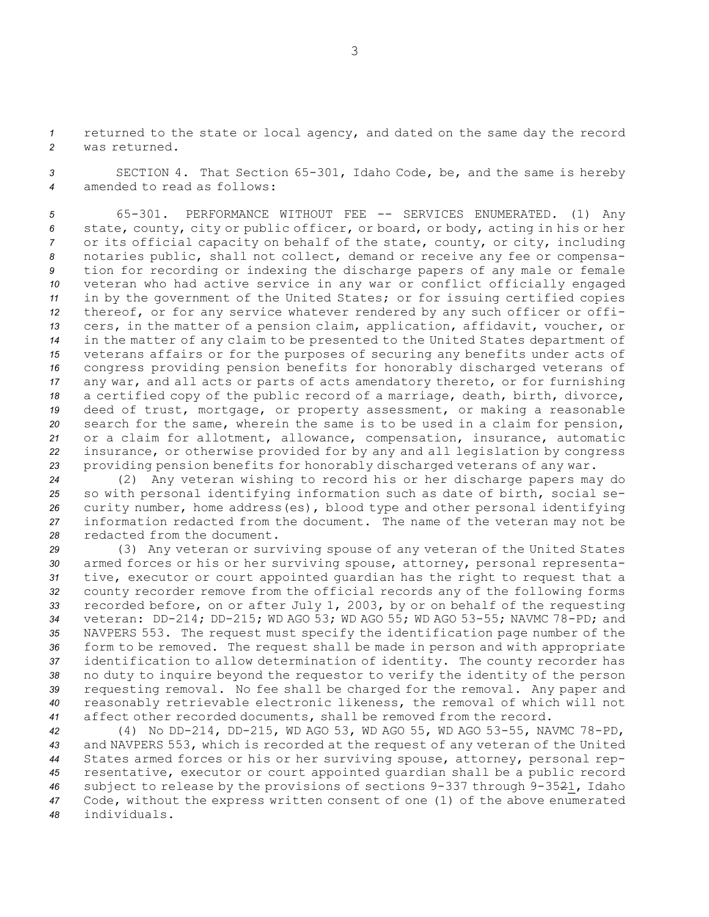*<sup>1</sup>* returned to the state or local agency, and dated on the same day the record *2* was returned.

*<sup>3</sup>* SECTION 4. That Section 65-301, Idaho Code, be, and the same is hereby *4* amended to read as follows:

 65-301. PERFORMANCE WITHOUT FEE -- SERVICES ENUMERATED. (1) Any state, county, city or public officer, or board, or body, acting in his or her or its official capacity on behalf of the state, county, or city, including notaries public, shall not collect, demand or receive any fee or compensa- tion for recording or indexing the discharge papers of any male or female veteran who had active service in any war or conflict officially engaged in by the government of the United States; or for issuing certified copies thereof, or for any service whatever rendered by any such officer or offi- cers, in the matter of <sup>a</sup> pension claim, application, affidavit, voucher, or in the matter of any claim to be presented to the United States department of veterans affairs or for the purposes of securing any benefits under acts of congress providing pension benefits for honorably discharged veterans of any war, and all acts or parts of acts amendatory thereto, or for furnishing <sup>a</sup> certified copy of the public record of <sup>a</sup> marriage, death, birth, divorce, deed of trust, mortgage, or property assessment, or making <sup>a</sup> reasonable search for the same, wherein the same is to be used in <sup>a</sup> claim for pension, or <sup>a</sup> claim for allotment, allowance, compensation, insurance, automatic insurance, or otherwise provided for by any and all legislation by congress providing pension benefits for honorably discharged veterans of any war.

 (2) Any veteran wishing to record his or her discharge papers may do so with personal identifying information such as date of birth, social se- curity number, home address(es), blood type and other personal identifying information redacted from the document. The name of the veteran may not be redacted from the document.

 (3) Any veteran or surviving spouse of any veteran of the United States armed forces or his or her surviving spouse, attorney, personal representa- tive, executor or court appointed guardian has the right to request that <sup>a</sup> county recorder remove from the official records any of the following forms recorded before, on or after July 1, 2003, by or on behalf of the requesting veteran: DD-214; DD-215; WD AGO 53; WD AGO 55; WD AGO 53-55; NAVMC 78-PD; and NAVPERS 553. The request must specify the identification page number of the form to be removed. The request shall be made in person and with appropriate identification to allow determination of identity. The county recorder has no duty to inquire beyond the requestor to verify the identity of the person requesting removal. No fee shall be charged for the removal. Any paper and reasonably retrievable electronic likeness, the removal of which will not affect other recorded documents, shall be removed from the record.

 (4) No DD-214, DD-215, WD AGO 53, WD AGO 55, WD AGO 53-55, NAVMC 78-PD, and NAVPERS 553, which is recorded at the request of any veteran of the United States armed forces or his or her surviving spouse, attorney, personal rep- resentative, executor or court appointed guardian shall be <sup>a</sup> public record subject to release by the provisions of sections 9-337 through 9-3521, Idaho Code, without the express written consent of one (1) of the above enumerated individuals.

3